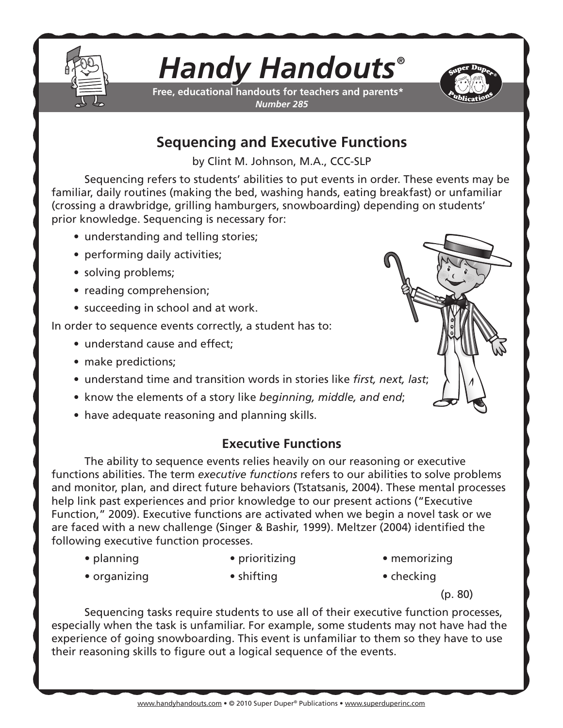

# *Handy Handouts®*

**Free, educational handouts for teachers and parents\*** *Number 285*



# **Sequencing and Executive Functions**

by Clint M. Johnson, M.A., CCC-SLP

Sequencing refers to students' abilities to put events in order. These events may be familiar, daily routines (making the bed, washing hands, eating breakfast) or unfamiliar (crossing a drawbridge, grilling hamburgers, snowboarding) depending on students' prior knowledge. Sequencing is necessary for:

- understanding and telling stories;
- performing daily activities;
- solving problems;
- reading comprehension;
- succeeding in school and at work.

In order to sequence events correctly, a student has to:

- understand cause and effect;
- make predictions:
- understand time and transition words in stories like *first, next, last*;
- know the elements of a story like *beginning, middle, and end*;
- have adequate reasoning and planning skills.

## **Executive Functions**

The ability to sequence events relies heavily on our reasoning or executive functions abilities. The term *executive functions* refers to our abilities to solve problems and monitor, plan, and direct future behaviors (Tstatsanis, 2004). These mental processes help link past experiences and prior knowledge to our present actions ("Executive Function," 2009). Executive functions are activated when we begin a novel task or we are faced with a new challenge (Singer & Bashir, 1999). Meltzer (2004) identified the following executive function processes.

- planning prioritizing memorizing
	-
- 
- organizing shifting checking
- 
- - - (p. 80)

Sequencing tasks require students to use all of their executive function processes, especially when the task is unfamiliar. For example, some students may not have had the experience of going snowboarding. This event is unfamiliar to them so they have to use their reasoning skills to figure out a logical sequence of the events.